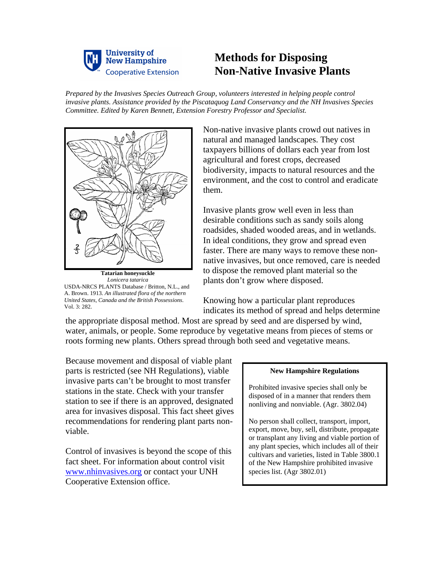

## **Methods for Disposing Non-Native Invasive Plants**

*Prepared by the Invasives Species Outreach Group, volunteers interested in helping people control invasive plants. Assistance provided by the Piscataquog Land Conservancy and the NH Invasives Species Committee. Edited by Karen Bennett, Extension Forestry Professor and Specialist.* 



**Tatarian honeysuckle** *Lonicera tatarica* USDA-NRCS PLANTS Database / Britton, N.L., and A. Brown. 1913. *An illustrated flora of the northern United States, Canada and the British Possessions*.  $Vol. 3: 282.$ 

Non-native invasive plants crowd out natives in natural and managed landscapes. They cost taxpayers billions of dollars each year from lost agricultural and forest crops, decreased biodiversity, impacts to natural resources and the environment, and the cost to control and eradicate them.

Invasive plants grow well even in less than desirable conditions such as sandy soils along roadsides, shaded wooded areas, and in wetlands. In ideal conditions, they grow and spread even faster. There are many ways to remove these nonnative invasives, but once removed, care is needed to dispose the removed plant material so the plants don't grow where disposed.

Knowing how a particular plant reproduces indicates its method of spread and helps determine

the appropriate disposal method. Most are spread by seed and are dispersed by wind, water, animals, or people. Some reproduce by vegetative means from pieces of stems or roots forming new plants. Others spread through both seed and vegetative means.

Because movement and disposal of viable plant parts is restricted (see NH Regulations), viable invasive parts can't be brought to most transfer stations in the state. Check with your transfer station to see if there is an approved, designated area for invasives disposal. This fact sheet gives recommendations for rendering plant parts nonviable.

Control of invasives is beyond the scope of this fact sheet. For information about control visit www.nhinvasives.org or contact your UNH Cooperative Extension office.

## **New Hampshire Regulations**

Prohibited invasive species shall only be disposed of in a manner that renders them nonliving and nonviable. (Agr. 3802.04)

No person shall collect, transport, import, export, move, buy, sell, distribute, propagate or transplant any living and viable portion of any plant species, which includes all of their cultivars and varieties, listed in Table 3800.1 of the New Hampshire prohibited invasive species list. (Agr 3802.01)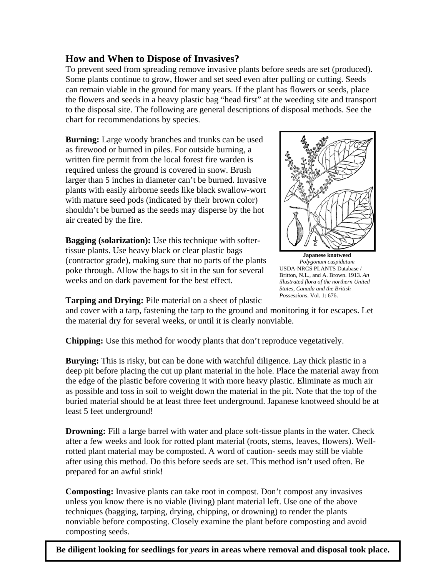## **How and When to Dispose of Invasives?**

To prevent seed from spreading remove invasive plants before seeds are set (produced). Some plants continue to grow, flower and set seed even after pulling or cutting. Seeds can remain viable in the ground for many years. If the plant has flowers or seeds, place the flowers and seeds in a heavy plastic bag "head first" at the weeding site and transport to the disposal site. The following are general descriptions of disposal methods. See the chart for recommendations by species.

**Burning:** Large woody branches and trunks can be used as firewood or burned in piles. For outside burning, a written fire permit from the local forest fire warden is required unless the ground is covered in snow. Brush larger than 5 inches in diameter can't be burned. Invasive plants with easily airborne seeds like black swallow-wort with mature seed pods (indicated by their brown color) shouldn't be burned as the seeds may disperse by the hot air created by the fire.

**Bagging (solarization):** Use this technique with softertissue plants. Use heavy black or clear plastic bags (contractor grade), making sure that no parts of the plants poke through. Allow the bags to sit in the sun for several weeks and on dark pavement for the best effect.

**Tarping and Drying:** Pile material on a sheet of plastic



**Japanese knotweed**  *Polygonum cuspidatum* USDA-NRCS PLANTS Database / Britton, N.L., and A. Brown. 1913. *An illustrated flora of the northern United States, Canada and the British Possessions*. Vol. 1: 676.

and cover with a tarp, fastening the tarp to the ground and monitoring it for escapes. Let the material dry for several weeks, or until it is clearly nonviable.

**Chipping:** Use this method for woody plants that don't reproduce vegetatively.

**Burying:** This is risky, but can be done with watchful diligence. Lay thick plastic in a deep pit before placing the cut up plant material in the hole. Place the material away from the edge of the plastic before covering it with more heavy plastic. Eliminate as much air as possible and toss in soil to weight down the material in the pit. Note that the top of the buried material should be at least three feet underground. Japanese knotweed should be at least 5 feet underground!

**Drowning:** Fill a large barrel with water and place soft-tissue plants in the water. Check after a few weeks and look for rotted plant material (roots, stems, leaves, flowers). Wellrotted plant material may be composted. A word of caution- seeds may still be viable after using this method. Do this before seeds are set. This method isn't used often. Be prepared for an awful stink!

**Composting:** Invasive plants can take root in compost. Don't compost any invasives unless you know there is no viable (living) plant material left. Use one of the above techniques (bagging, tarping, drying, chipping, or drowning) to render the plants nonviable before composting. Closely examine the plant before composting and avoid composting seeds.

**Be diligent looking for seedlings for** *years* **in areas where removal and disposal took place.**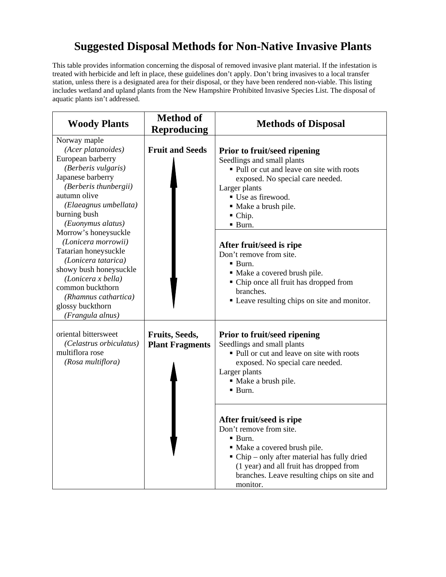## **Suggested Disposal Methods for Non-Native Invasive Plants**

This table provides information concerning the disposal of removed invasive plant material. If the infestation is treated with herbicide and left in place, these guidelines don't apply. Don't bring invasives to a local transfer station, unless there is a designated area for their disposal, or they have been rendered non-viable. This listing includes wetland and upland plants from the New Hampshire Prohibited Invasive Species List. The disposal of aquatic plants isn't addressed.

| <b>Woody Plants</b>                                                                                                                                                                                                                                                                                                                                                                                                                          | <b>Method of</b><br>Reproducing          | <b>Methods of Disposal</b>                                                                                                                                                                                                                                                                                                                                                                                                                               |
|----------------------------------------------------------------------------------------------------------------------------------------------------------------------------------------------------------------------------------------------------------------------------------------------------------------------------------------------------------------------------------------------------------------------------------------------|------------------------------------------|----------------------------------------------------------------------------------------------------------------------------------------------------------------------------------------------------------------------------------------------------------------------------------------------------------------------------------------------------------------------------------------------------------------------------------------------------------|
| Norway maple<br>(Acer platanoides)<br>European barberry<br>(Berberis vulgaris)<br>Japanese barberry<br>(Berberis thunbergii)<br>autumn olive<br>(Elaeagnus umbellata)<br>burning bush<br>(Euonymus alatus)<br>Morrow's honeysuckle<br>(Lonicera morrowii)<br>Tatarian honeysuckle<br>(Lonicera tatarica)<br>showy bush honeysuckle<br>(Lonicera x bella)<br>common buckthorn<br>(Rhamnus cathartica)<br>glossy buckthorn<br>(Frangula alnus) | <b>Fruit and Seeds</b>                   | Prior to fruit/seed ripening<br>Seedlings and small plants<br>• Pull or cut and leave on site with roots<br>exposed. No special care needed.<br>Larger plants<br>■ Use as firewood.<br>· Make a brush pile.<br>$\blacksquare$ Chip.<br>· Burn.<br>After fruit/seed is ripe<br>Don't remove from site.<br>· Burn.<br>• Make a covered brush pile.<br>• Chip once all fruit has dropped from<br>branches.<br>• Leave resulting chips on site and monitor.  |
| oriental bittersweet<br>(Celastrus orbiculatus)<br>multiflora rose<br>(Rosa multiflora)                                                                                                                                                                                                                                                                                                                                                      | Fruits, Seeds,<br><b>Plant Fragments</b> | Prior to fruit/seed ripening<br>Seedlings and small plants<br>• Pull or cut and leave on site with roots<br>exposed. No special care needed.<br>Larger plants<br>· Make a brush pile.<br>· Burn.<br>After fruit/seed is ripe<br>Don't remove from site.<br>· Burn.<br>• Make a covered brush pile.<br>• Chip – only after material has fully dried<br>(1 year) and all fruit has dropped from<br>branches. Leave resulting chips on site and<br>monitor. |